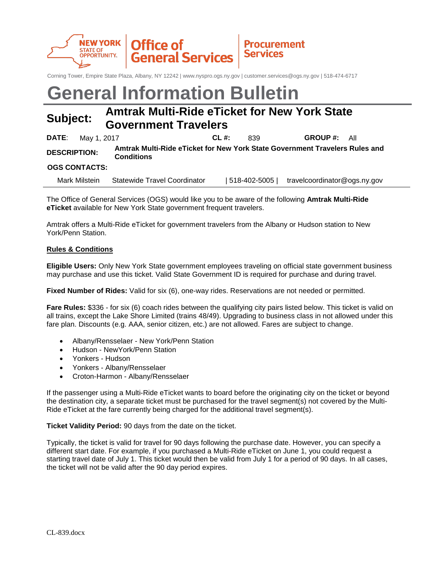

Corning Tower, Empire State Plaza, Albany, NY 12242 | www.nyspro.ogs.ny.gov | customer.services@ogs.ny.gov | 518-474-6717

# **General Information Bulletin**

# **Subject: Amtrak Multi-Ride eTicket for New York State Government Travelers**

|                      | <b>DATE:</b> May 1, 2017 |                                                                                                  | $CL$ #: | 839 | <b>GROUP #:</b> All |  |
|----------------------|--------------------------|--------------------------------------------------------------------------------------------------|---------|-----|---------------------|--|
| <b>DESCRIPTION:</b>  |                          | Amtrak Multi-Ride eTicket for New York State Government Travelers Rules and<br><b>Conditions</b> |         |     |                     |  |
| <b>OGS CONTACTS:</b> |                          |                                                                                                  |         |     |                     |  |

Mark Milstein Statewide Travel Coordinator | 518-402-5005 | travelcoordinator@ogs.ny.gov

The Office of General Services (OGS) would like you to be aware of the following **Amtrak Multi-Ride eTicket** available for New York State government frequent travelers.

Amtrak offers a Multi-Ride eTicket for government travelers from the Albany or Hudson station to New York/Penn Station.

## **Rules & Conditions**

**Eligible Users:** Only New York State government employees traveling on official state government business may purchase and use this ticket. Valid State Government ID is required for purchase and during travel.

**Fixed Number of Rides:** Valid for six (6), one-way rides. Reservations are not needed or permitted.

**Fare Rules:** \$336 - for six (6) coach rides between the qualifying city pairs listed below. This ticket is valid on all trains, except the Lake Shore Limited (trains 48/49). Upgrading to business class in not allowed under this fare plan. Discounts (e.g. AAA, senior citizen, etc.) are not allowed. Fares are subject to change.

- Albany/Rensselaer New York/Penn Station
- Hudson NewYork/Penn Station
- Yonkers Hudson
- Yonkers Albany/Rensselaer
- Croton-Harmon Albany/Rensselaer

If the passenger using a Multi-Ride eTicket wants to board before the originating city on the ticket or beyond the destination city, a separate ticket must be purchased for the travel segment(s) not covered by the Multi-Ride eTicket at the fare currently being charged for the additional travel segment(s).

**Ticket Validity Period:** 90 days from the date on the ticket.

Typically, the ticket is valid for travel for 90 days following the purchase date. However, you can specify a different start date. For example, if you purchased a Multi-Ride eTicket on June 1, you could request a starting travel date of July 1. This ticket would then be valid from July 1 for a period of 90 days. In all cases, the ticket will not be valid after the 90 day period expires.